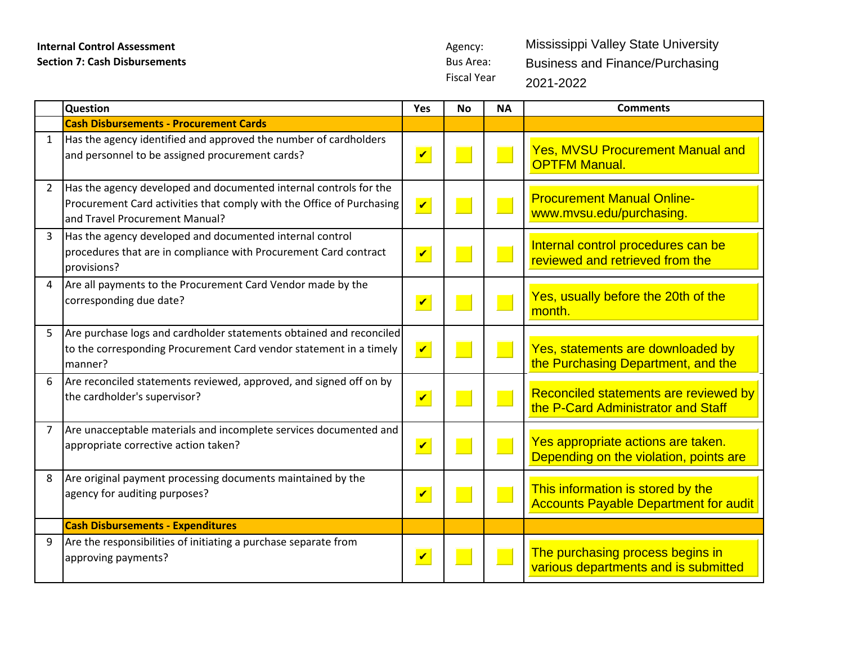Fiscal Year

Mississippi Valley State University Business and Finance/Purchasing 2021-2022

|                        | Question                                                                                                                                                                     | Yes                     | <b>No</b> | <b>NA</b>              | <b>Comments</b>                                                                   |
|------------------------|------------------------------------------------------------------------------------------------------------------------------------------------------------------------------|-------------------------|-----------|------------------------|-----------------------------------------------------------------------------------|
|                        | <b>Cash Disbursements - Procurement Cards</b>                                                                                                                                |                         |           |                        |                                                                                   |
| 1                      | Has the agency identified and approved the number of cardholders<br>and personnel to be assigned procurement cards?                                                          | $\overline{\mathbf{v}}$ |           |                        | <b>Yes, MVSU Procurement Manual and</b><br><b>OPTFM Manual.</b>                   |
| 2                      | Has the agency developed and documented internal controls for the<br>Procurement Card activities that comply with the Office of Purchasing<br>and Travel Procurement Manual? | $\overline{\mathbf{v}}$ |           |                        | <b>Procurement Manual Online-</b><br>www.mvsu.edu/purchasing.                     |
|                        | Has the agency developed and documented internal control<br>procedures that are in compliance with Procurement Card contract<br>provisions?                                  | $\overline{\mathbf{v}}$ |           | <b>Service Service</b> | Internal control procedures can be<br>reviewed and retrieved from the             |
| $\boldsymbol{\Lambda}$ | Are all payments to the Procurement Card Vendor made by the<br>corresponding due date?                                                                                       | $\overline{\mathbf{v}}$ | <b>I</b>  | $\Box$                 | Yes, usually before the 20th of the<br>month.                                     |
| 5                      | Are purchase logs and cardholder statements obtained and reconciled<br>to the corresponding Procurement Card vendor statement in a timely<br>manner?                         | $\mathbf v$             |           |                        | Yes, statements are downloaded by<br>the Purchasing Department, and the           |
| 6                      | Are reconciled statements reviewed, approved, and signed off on by<br>the cardholder's supervisor?                                                                           | $\overline{\mathbf{v}}$ |           |                        | Reconciled statements are reviewed by<br>the P-Card Administrator and Staff       |
| $\overline{7}$         | Are unacceptable materials and incomplete services documented and<br>appropriate corrective action taken?                                                                    | $\overline{\mathbf{v}}$ |           |                        | Yes appropriate actions are taken.<br>Depending on the violation, points are      |
| 8                      | Are original payment processing documents maintained by the<br>agency for auditing purposes?                                                                                 | $\overline{\mathbf{v}}$ |           |                        | This information is stored by the<br><b>Accounts Payable Department for audit</b> |
|                        | <b>Cash Disbursements - Expenditures</b>                                                                                                                                     |                         |           |                        |                                                                                   |
| 9                      | Are the responsibilities of initiating a purchase separate from<br>approving payments?                                                                                       | $\blacktriangledown$    |           |                        | The purchasing process begins in<br>various departments and is submitted          |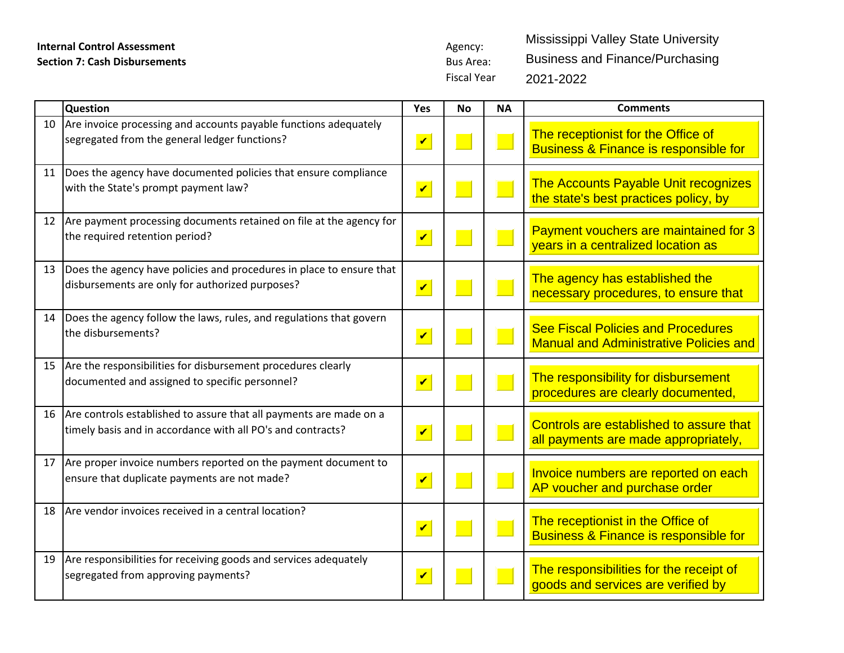Fiscal Year

Mississippi Valley State University Business and Finance/Purchasing 2021-2022

|    | <b>Question</b>                                                                                                                   | Yes                     | <b>No</b> | ΝA                     | <b>Comments</b>                                                                            |
|----|-----------------------------------------------------------------------------------------------------------------------------------|-------------------------|-----------|------------------------|--------------------------------------------------------------------------------------------|
| 10 | Are invoice processing and accounts payable functions adequately<br>segregated from the general ledger functions?                 | $\mathbf v$             |           |                        | The receptionist for the Office of<br><b>Business &amp; Finance is responsible for</b>     |
| 11 | Does the agency have documented policies that ensure compliance<br>with the State's prompt payment law?                           | $\overline{\mathbf{v}}$ |           | $\Box$                 | The Accounts Payable Unit recognizes<br>the state's best practices policy, by              |
| 12 | Are payment processing documents retained on file at the agency for<br>the required retention period?                             | $\mathbf{v}$            |           |                        | Payment vouchers are maintained for 3<br>years in a centralized location as                |
| 13 | Does the agency have policies and procedures in place to ensure that<br>disbursements are only for authorized purposes?           | $\overline{\mathbf{v}}$ |           |                        | The agency has established the<br>necessary procedures, to ensure that                     |
| 14 | Does the agency follow the laws, rules, and regulations that govern<br>the disbursements?                                         | $\blacktriangledown$    |           | <b>Service Service</b> | <b>See Fiscal Policies and Procedures</b><br><b>Manual and Administrative Policies and</b> |
| 15 | Are the responsibilities for disbursement procedures clearly<br>documented and assigned to specific personnel?                    | $\overline{\mathbf{v}}$ |           |                        | The responsibility for disbursement<br>procedures are clearly documented,                  |
| 16 | Are controls established to assure that all payments are made on a<br>timely basis and in accordance with all PO's and contracts? | $\boldsymbol{v}$        |           | $\Box$                 | Controls are established to assure that<br>all payments are made appropriately,            |
| 17 | Are proper invoice numbers reported on the payment document to<br>ensure that duplicate payments are not made?                    | $\boldsymbol{v}$        |           |                        | Invoice numbers are reported on each<br>AP voucher and purchase order                      |
| 18 | Are vendor invoices received in a central location?                                                                               | $\overline{\mathbf{v}}$ |           |                        | The receptionist in the Office of<br><b>Business &amp; Finance is responsible for</b>      |
| 19 | Are responsibilities for receiving goods and services adequately<br>segregated from approving payments?                           | $\blacktriangledown$    |           |                        | The responsibilities for the receipt of<br>goods and services are verified by              |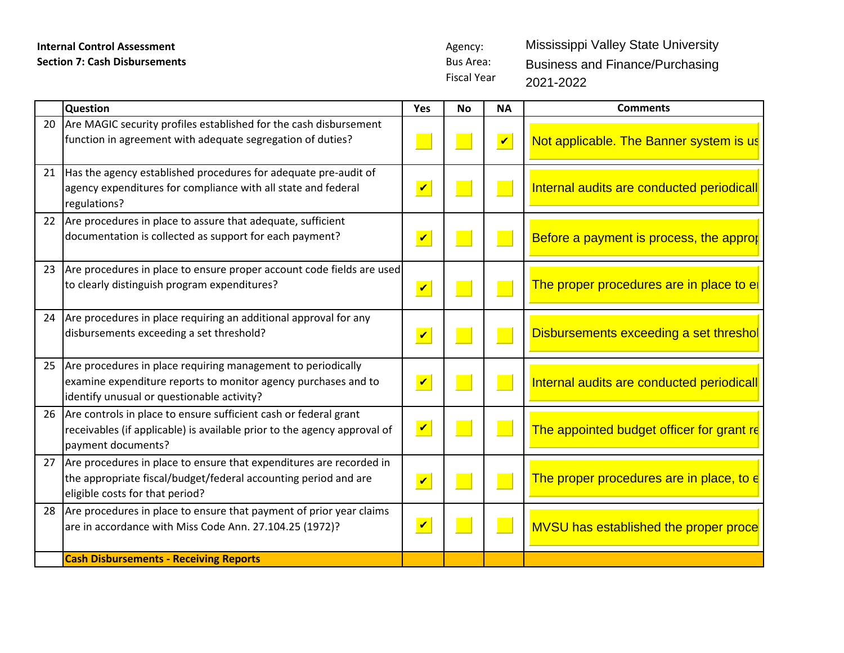Fiscal Year Mississippi Valley State University Business and Finance/Purchasing 2021-2022

|    | <b>Question</b>                                                                                                                                                                 | Yes                         | No | <b>NA</b>                   | <b>Comments</b>                           |
|----|---------------------------------------------------------------------------------------------------------------------------------------------------------------------------------|-----------------------------|----|-----------------------------|-------------------------------------------|
|    | 20 Are MAGIC security profiles established for the cash disbursement<br>function in agreement with adequate segregation of duties?                                              |                             |    | $\vert\bm{\mathsf{v}}\vert$ | Not applicable. The Banner system is us   |
| 21 | Has the agency established procedures for adequate pre-audit of<br>agency expenditures for compliance with all state and federal<br>regulations?                                | $\vert\bm{\mathsf{v}}\vert$ |    |                             | Internal audits are conducted periodicall |
| 22 | Are procedures in place to assure that adequate, sufficient<br>documentation is collected as support for each payment?                                                          | $\blacktriangledown$        |    |                             | Before a payment is process, the approp   |
|    | 23 Are procedures in place to ensure proper account code fields are used<br>to clearly distinguish program expenditures?                                                        | $\overline{\mathbf{v}}$     |    |                             | The proper procedures are in place to el  |
|    | 24 Are procedures in place requiring an additional approval for any<br>disbursements exceeding a set threshold?                                                                 | $\blacktriangledown$        |    |                             | Disbursements exceeding a set threshol    |
|    | 25 Are procedures in place requiring management to periodically<br>examine expenditure reports to monitor agency purchases and to<br>identify unusual or questionable activity? | $\blacktriangledown$        |    |                             | Internal audits are conducted periodicall |
|    | 26 Are controls in place to ensure sufficient cash or federal grant<br>receivables (if applicable) is available prior to the agency approval of<br>payment documents?           |                             |    |                             | The appointed budget officer for grant re |
|    | 27 Are procedures in place to ensure that expenditures are recorded in<br>the appropriate fiscal/budget/federal accounting period and are<br>eligible costs for that period?    | $\vert\bm{\mathsf{v}}\vert$ |    |                             | The proper procedures are in place, to e  |
|    | 28 Are procedures in place to ensure that payment of prior year claims<br>are in accordance with Miss Code Ann. 27.104.25 (1972)?                                               | $\vert\bm{\mathsf{v}}\vert$ |    |                             | MVSU has established the proper proce     |
|    | <b>Cash Disbursements - Receiving Reports</b>                                                                                                                                   |                             |    |                             |                                           |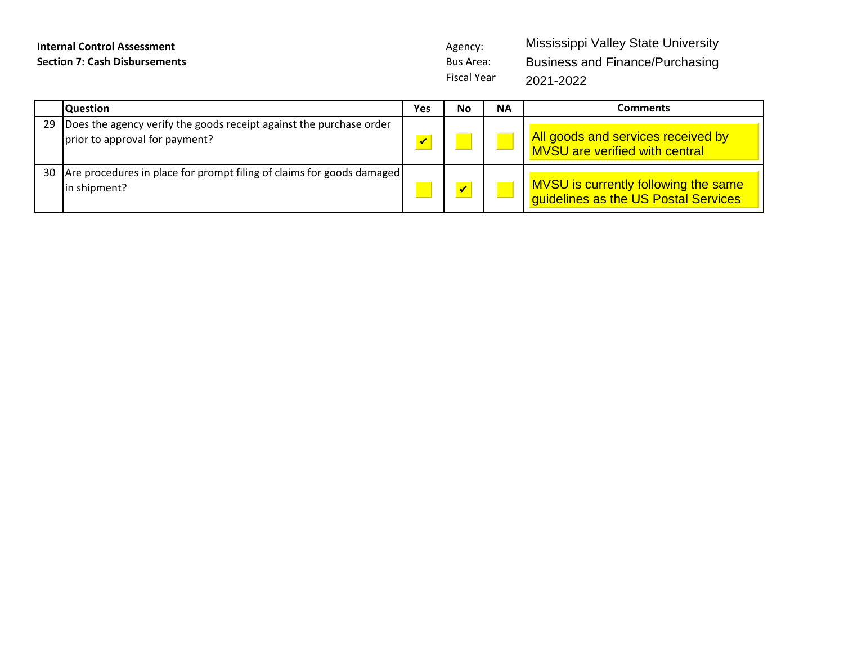Fiscal Year Mississippi Valley State University Business and Finance/Purchasing 2021-2022

|    | <b>Question</b>                                                                                       | Yes                     | No                      | <b>NA</b> | Comments                                                                     |
|----|-------------------------------------------------------------------------------------------------------|-------------------------|-------------------------|-----------|------------------------------------------------------------------------------|
| 29 | Does the agency verify the goods receipt against the purchase order<br>prior to approval for payment? | $\overline{\mathbf{v}}$ |                         |           | All goods and services received by<br><b>MVSU</b> are verified with central  |
| 30 | Are procedures in place for prompt filing of claims for goods damaged<br>in shipment?                 |                         | $\overline{\mathbf{v}}$ |           | MVSU is currently following the same<br>guidelines as the US Postal Services |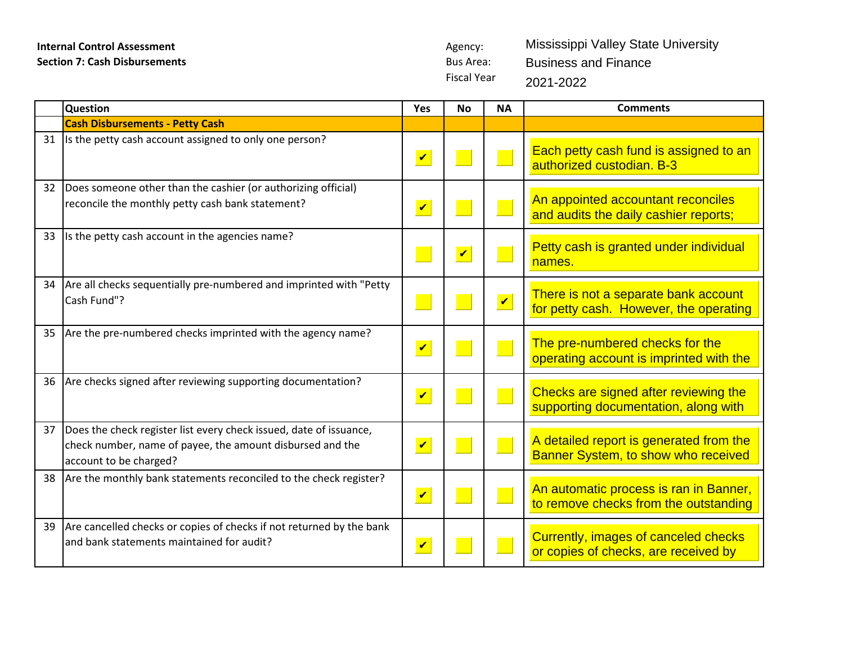Fiscal Year Mississippi Valley State University Business and Finance 2021-2022

|    | Question                                                                                                                                                  | Yes                     | <b>No</b>               | <b>NA</b>               | <b>Comments</b>                                                                 |
|----|-----------------------------------------------------------------------------------------------------------------------------------------------------------|-------------------------|-------------------------|-------------------------|---------------------------------------------------------------------------------|
|    | <b>Cash Disbursements - Petty Cash</b>                                                                                                                    |                         |                         |                         |                                                                                 |
| 31 | Its the petty cash account assigned to only one person?                                                                                                   | $\overline{\mathbf{v}}$ |                         | $\blacksquare$          | Each petty cash fund is assigned to an<br>authorized custodian. B-3             |
| 32 | Does someone other than the cashier (or authorizing official)<br>reconcile the monthly petty cash bank statement?                                         | $\overline{\mathbf{v}}$ |                         |                         | An appointed accountant reconciles<br>and audits the daily cashier reports;     |
| 33 | Is the petty cash account in the agencies name?                                                                                                           |                         | $\overline{\mathbf{v}}$ |                         | Petty cash is granted under individual<br>names.                                |
| 34 | Are all checks sequentially pre-numbered and imprinted with "Petty<br>Cash Fund"?                                                                         |                         |                         | $\overline{\mathbf{v}}$ | There is not a separate bank account<br>for petty cash. However, the operating  |
| 35 | Are the pre-numbered checks imprinted with the agency name?                                                                                               | $\overline{\mathbf{v}}$ |                         | <b>Service Service</b>  | The pre-numbered checks for the<br>operating account is imprinted with the      |
| 36 | Are checks signed after reviewing supporting documentation?                                                                                               | $\mathbf v$             |                         |                         | Checks are signed after reviewing the<br>supporting documentation, along with   |
| 37 | Does the check register list every check issued, date of issuance,<br>check number, name of payee, the amount disbursed and the<br>account to be charged? | $\overline{\mathbf{v}}$ |                         |                         | A detailed report is generated from the<br>Banner System, to show who received  |
| 38 | Are the monthly bank statements reconciled to the check register?                                                                                         | $\overline{\mathbf{v}}$ |                         |                         | An automatic process is ran in Banner,<br>to remove checks from the outstanding |
| 39 | Are cancelled checks or copies of checks if not returned by the bank<br>and bank statements maintained for audit?                                         | $\overline{\mathbf{v}}$ |                         |                         | Currently, images of canceled checks<br>or copies of checks, are received by    |